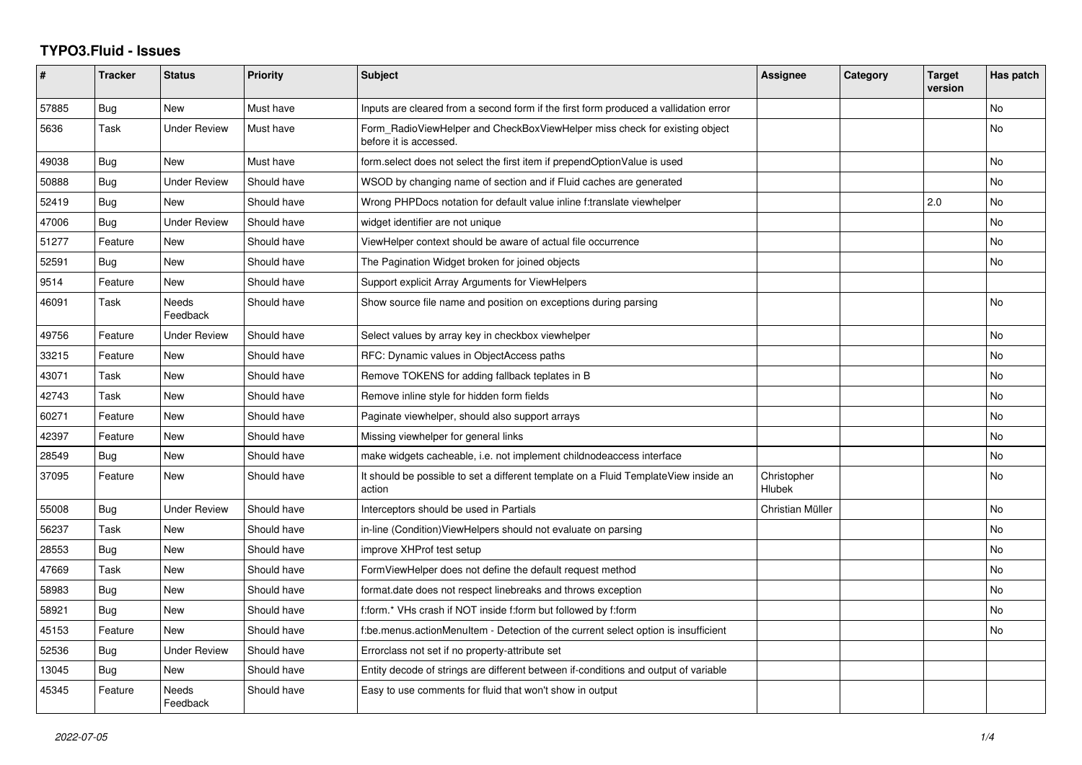## **TYPO3.Fluid - Issues**

| #     | <b>Tracker</b> | <b>Status</b>            | <b>Priority</b> | <b>Subject</b>                                                                                       | Assignee              | Category | <b>Target</b><br>version | Has patch |
|-------|----------------|--------------------------|-----------------|------------------------------------------------------------------------------------------------------|-----------------------|----------|--------------------------|-----------|
| 57885 | Bug            | <b>New</b>               | Must have       | Inputs are cleared from a second form if the first form produced a vallidation error                 |                       |          |                          | No        |
| 5636  | Task           | <b>Under Review</b>      | Must have       | Form_RadioViewHelper and CheckBoxViewHelper miss check for existing object<br>before it is accessed. |                       |          |                          | No        |
| 49038 | Bug            | New                      | Must have       | form select does not select the first item if prependOptionValue is used                             |                       |          |                          | No        |
| 50888 | Bug            | <b>Under Review</b>      | Should have     | WSOD by changing name of section and if Fluid caches are generated                                   |                       |          |                          | No        |
| 52419 | <b>Bug</b>     | <b>New</b>               | Should have     | Wrong PHPDocs notation for default value inline f:translate viewhelper                               |                       |          | 2.0                      | <b>No</b> |
| 47006 | Bug            | <b>Under Review</b>      | Should have     | widget identifier are not unique                                                                     |                       |          |                          | No        |
| 51277 | Feature        | New                      | Should have     | ViewHelper context should be aware of actual file occurrence                                         |                       |          |                          | No        |
| 52591 | Bug            | New                      | Should have     | The Pagination Widget broken for joined objects                                                      |                       |          |                          | <b>No</b> |
| 9514  | Feature        | New                      | Should have     | Support explicit Array Arguments for ViewHelpers                                                     |                       |          |                          |           |
| 46091 | Task           | <b>Needs</b><br>Feedback | Should have     | Show source file name and position on exceptions during parsing                                      |                       |          |                          | <b>No</b> |
| 49756 | Feature        | <b>Under Review</b>      | Should have     | Select values by array key in checkbox viewhelper                                                    |                       |          |                          | <b>No</b> |
| 33215 | Feature        | New                      | Should have     | RFC: Dynamic values in ObjectAccess paths                                                            |                       |          |                          | <b>No</b> |
| 43071 | Task           | New                      | Should have     | Remove TOKENS for adding fallback teplates in B                                                      |                       |          |                          | No        |
| 42743 | Task           | New                      | Should have     | Remove inline style for hidden form fields                                                           |                       |          |                          | No        |
| 60271 | Feature        | <b>New</b>               | Should have     | Paginate viewhelper, should also support arrays                                                      |                       |          |                          | <b>No</b> |
| 42397 | Feature        | New                      | Should have     | Missing viewhelper for general links                                                                 |                       |          |                          | <b>No</b> |
| 28549 | Bug            | New                      | Should have     | make widgets cacheable, i.e. not implement childnodeaccess interface                                 |                       |          |                          | No        |
| 37095 | Feature        | <b>New</b>               | Should have     | It should be possible to set a different template on a Fluid TemplateView inside an<br>action        | Christopher<br>Hlubek |          |                          | <b>No</b> |
| 55008 | <b>Bug</b>     | <b>Under Review</b>      | Should have     | Interceptors should be used in Partials                                                              | Christian Müller      |          |                          | <b>No</b> |
| 56237 | Task           | New                      | Should have     | in-line (Condition) View Helpers should not evaluate on parsing                                      |                       |          |                          | No        |
| 28553 | Bug            | New                      | Should have     | improve XHProf test setup                                                                            |                       |          |                          | <b>No</b> |
| 47669 | Task           | New                      | Should have     | Form View Helper does not define the default request method                                          |                       |          |                          | <b>No</b> |
| 58983 | <b>Bug</b>     | New                      | Should have     | format.date does not respect linebreaks and throws exception                                         |                       |          |                          | <b>No</b> |
| 58921 | Bug            | <b>New</b>               | Should have     | f:form.* VHs crash if NOT inside f:form but followed by f:form                                       |                       |          |                          | <b>No</b> |
| 45153 | Feature        | <b>New</b>               | Should have     | f:be.menus.actionMenuItem - Detection of the current select option is insufficient                   |                       |          |                          | <b>No</b> |
| 52536 | <b>Bug</b>     | <b>Under Review</b>      | Should have     | Errorclass not set if no property-attribute set                                                      |                       |          |                          |           |
| 13045 | Bug            | New                      | Should have     | Entity decode of strings are different between if-conditions and output of variable                  |                       |          |                          |           |
| 45345 | Feature        | Needs<br>Feedback        | Should have     | Easy to use comments for fluid that won't show in output                                             |                       |          |                          |           |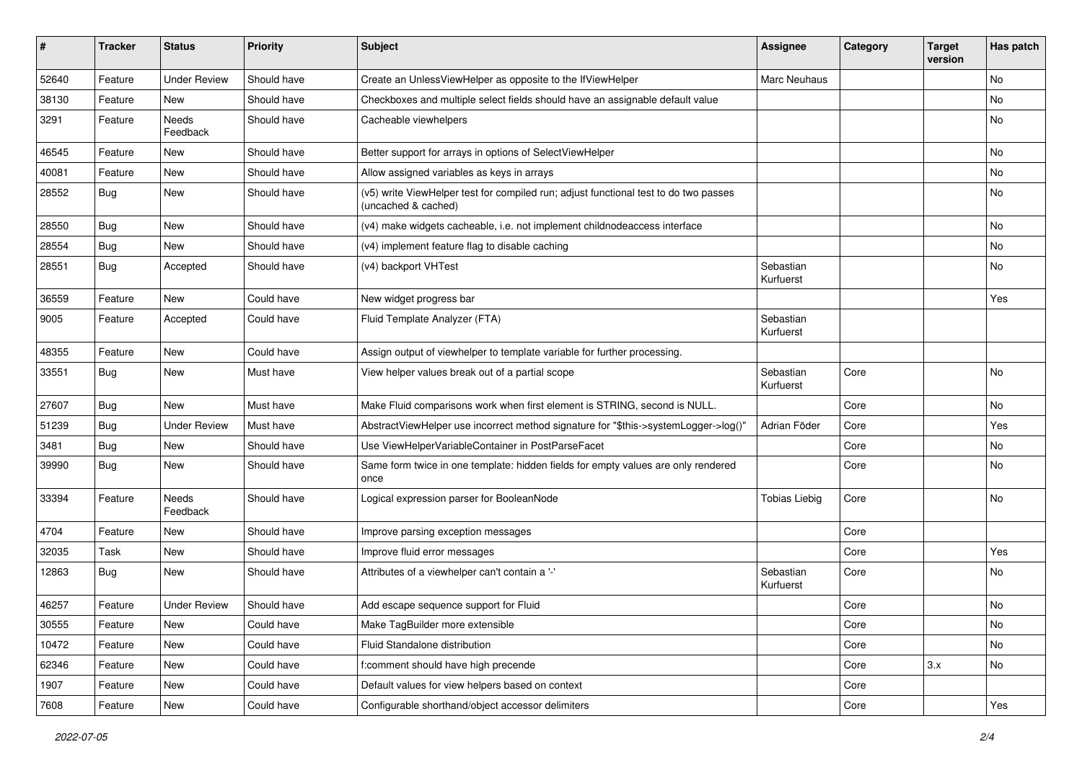| #     | <b>Tracker</b> | <b>Status</b>       | <b>Priority</b> | <b>Subject</b>                                                                                              | Assignee               | Category | <b>Target</b><br>version | Has patch |
|-------|----------------|---------------------|-----------------|-------------------------------------------------------------------------------------------------------------|------------------------|----------|--------------------------|-----------|
| 52640 | Feature        | <b>Under Review</b> | Should have     | Create an UnlessViewHelper as opposite to the IfViewHelper                                                  | Marc Neuhaus           |          |                          | <b>No</b> |
| 38130 | Feature        | New                 | Should have     | Checkboxes and multiple select fields should have an assignable default value                               |                        |          |                          | No        |
| 3291  | Feature        | Needs<br>Feedback   | Should have     | Cacheable viewhelpers                                                                                       |                        |          |                          | No        |
| 46545 | Feature        | New                 | Should have     | Better support for arrays in options of SelectViewHelper                                                    |                        |          |                          | No        |
| 40081 | Feature        | New                 | Should have     | Allow assigned variables as keys in arrays                                                                  |                        |          |                          | No        |
| 28552 | Bug            | New                 | Should have     | (v5) write ViewHelper test for compiled run; adjust functional test to do two passes<br>(uncached & cached) |                        |          |                          | No        |
| 28550 | Bug            | New                 | Should have     | (v4) make widgets cacheable, i.e. not implement childnodeaccess interface                                   |                        |          |                          | No        |
| 28554 | Bug            | New                 | Should have     | (v4) implement feature flag to disable caching                                                              |                        |          |                          | No        |
| 28551 | Bug            | Accepted            | Should have     | (v4) backport VHTest                                                                                        | Sebastian<br>Kurfuerst |          |                          | No        |
| 36559 | Feature        | New                 | Could have      | New widget progress bar                                                                                     |                        |          |                          | Yes       |
| 9005  | Feature        | Accepted            | Could have      | Fluid Template Analyzer (FTA)                                                                               | Sebastian<br>Kurfuerst |          |                          |           |
| 48355 | Feature        | New                 | Could have      | Assign output of viewhelper to template variable for further processing.                                    |                        |          |                          |           |
| 33551 | Bug            | New                 | Must have       | View helper values break out of a partial scope                                                             | Sebastian<br>Kurfuerst | Core     |                          | No        |
| 27607 | Bug            | New                 | Must have       | Make Fluid comparisons work when first element is STRING, second is NULL.                                   |                        | Core     |                          | No        |
| 51239 | Bug            | <b>Under Review</b> | Must have       | AbstractViewHelper use incorrect method signature for "\$this->systemLogger->log()"                         | Adrian Föder           | Core     |                          | Yes       |
| 3481  | Bug            | New                 | Should have     | Use ViewHelperVariableContainer in PostParseFacet                                                           |                        | Core     |                          | No        |
| 39990 | Bug            | New                 | Should have     | Same form twice in one template: hidden fields for empty values are only rendered<br>once                   |                        | Core     |                          | No        |
| 33394 | Feature        | Needs<br>Feedback   | Should have     | Logical expression parser for BooleanNode                                                                   | <b>Tobias Liebig</b>   | Core     |                          | <b>No</b> |
| 4704  | Feature        | New                 | Should have     | Improve parsing exception messages                                                                          |                        | Core     |                          |           |
| 32035 | Task           | New                 | Should have     | Improve fluid error messages                                                                                |                        | Core     |                          | Yes       |
| 12863 | Bug            | New                 | Should have     | Attributes of a viewhelper can't contain a '-'                                                              | Sebastian<br>Kurfuerst | Core     |                          | No        |
| 46257 | Feature        | <b>Under Review</b> | Should have     | Add escape sequence support for Fluid                                                                       |                        | Core     |                          | No        |
| 30555 | Feature        | New                 | Could have      | Make TagBuilder more extensible                                                                             |                        | Core     |                          | No        |
| 10472 | Feature        | New                 | Could have      | Fluid Standalone distribution                                                                               |                        | Core     |                          | No        |
| 62346 | Feature        | New                 | Could have      | f:comment should have high precende                                                                         |                        | Core     | 3.x                      | No        |
| 1907  | Feature        | New                 | Could have      | Default values for view helpers based on context                                                            |                        | Core     |                          |           |
| 7608  | Feature        | New                 | Could have      | Configurable shorthand/object accessor delimiters                                                           |                        | Core     |                          | Yes       |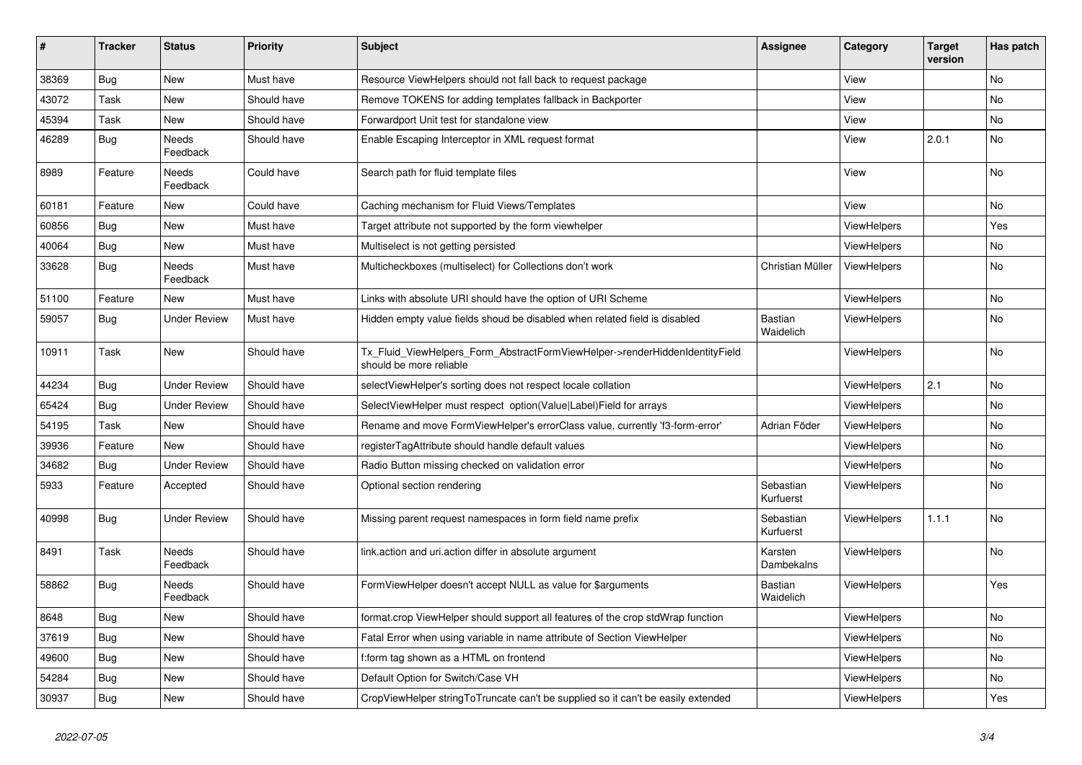| $\vert$ # | <b>Tracker</b> | <b>Status</b>       | <b>Priority</b> | <b>Subject</b>                                                                                         | <b>Assignee</b>        | Category           | <b>Target</b><br>version | Has patch |
|-----------|----------------|---------------------|-----------------|--------------------------------------------------------------------------------------------------------|------------------------|--------------------|--------------------------|-----------|
| 38369     | <b>Bug</b>     | <b>New</b>          | Must have       | Resource ViewHelpers should not fall back to request package                                           |                        | View               |                          | <b>No</b> |
| 43072     | Task           | New                 | Should have     | Remove TOKENS for adding templates fallback in Backporter                                              |                        | View               |                          | <b>No</b> |
| 45394     | Task           | New                 | Should have     | Forwardport Unit test for standalone view                                                              |                        | View               |                          | No        |
| 46289     | Bug            | Needs<br>Feedback   | Should have     | Enable Escaping Interceptor in XML request format                                                      |                        | View               | 2.0.1                    | No        |
| 8989      | Feature        | Needs<br>Feedback   | Could have      | Search path for fluid template files                                                                   |                        | View               |                          | No        |
| 60181     | Feature        | New                 | Could have      | Caching mechanism for Fluid Views/Templates                                                            |                        | View               |                          | No        |
| 60856     | Bug            | New                 | Must have       | Target attribute not supported by the form viewhelper                                                  |                        | <b>ViewHelpers</b> |                          | Yes       |
| 40064     | Bug            | New                 | Must have       | Multiselect is not getting persisted                                                                   |                        | ViewHelpers        |                          | No        |
| 33628     | Bug            | Needs<br>Feedback   | Must have       | Multicheckboxes (multiselect) for Collections don't work                                               | Christian Müller       | <b>ViewHelpers</b> |                          | <b>No</b> |
| 51100     | Feature        | New                 | Must have       | Links with absolute URI should have the option of URI Scheme                                           |                        | ViewHelpers        |                          | <b>No</b> |
| 59057     | <b>Bug</b>     | Under Review        | Must have       | Hidden empty value fields shoud be disabled when related field is disabled                             | Bastian<br>Waidelich   | <b>ViewHelpers</b> |                          | <b>No</b> |
| 10911     | Task           | New                 | Should have     | Tx Fluid ViewHelpers Form AbstractFormViewHelper->renderHiddenIdentityField<br>should be more reliable |                        | <b>ViewHelpers</b> |                          | No        |
| 44234     | Bug            | Under Review        | Should have     | selectViewHelper's sorting does not respect locale collation                                           |                        | <b>ViewHelpers</b> | 2.1                      | <b>No</b> |
| 65424     | Bug            | Under Review        | Should have     | SelectViewHelper must respect option(Value Label)Field for arrays                                      |                        | ViewHelpers        |                          | <b>No</b> |
| 54195     | Task           | New                 | Should have     | Rename and move FormViewHelper's errorClass value, currently 'f3-form-error'                           | Adrian Föder           | <b>ViewHelpers</b> |                          | No        |
| 39936     | Feature        | <b>New</b>          | Should have     | registerTagAttribute should handle default values                                                      |                        | ViewHelpers        |                          | No        |
| 34682     | Bug            | Under Review        | Should have     | Radio Button missing checked on validation error                                                       |                        | <b>ViewHelpers</b> |                          | No        |
| 5933      | Feature        | Accepted            | Should have     | Optional section rendering                                                                             | Sebastian<br>Kurfuerst | <b>ViewHelpers</b> |                          | <b>No</b> |
| 40998     | <b>Bug</b>     | <b>Under Review</b> | Should have     | Missing parent request namespaces in form field name prefix                                            | Sebastian<br>Kurfuerst | <b>ViewHelpers</b> | 1.1.1                    | <b>No</b> |
| 8491      | Task           | Needs<br>Feedback   | Should have     | link.action and uri.action differ in absolute argument                                                 | Karsten<br>Dambekalns  | <b>ViewHelpers</b> |                          | No        |
| 58862     | Bug            | Needs<br>Feedback   | Should have     | FormViewHelper doesn't accept NULL as value for \$arguments                                            | Bastian<br>Waidelich   | <b>ViewHelpers</b> |                          | Yes       |
| 8648      | <b>Bug</b>     | New                 | Should have     | format.crop ViewHelper should support all features of the crop stdWrap function                        |                        | ViewHelpers        |                          | <b>No</b> |
| 37619     | Bug            | New                 | Should have     | Fatal Error when using variable in name attribute of Section ViewHelper                                |                        | ViewHelpers        |                          | <b>No</b> |
| 49600     | <b>Bug</b>     | New                 | Should have     | f:form tag shown as a HTML on frontend                                                                 |                        | ViewHelpers        |                          | <b>No</b> |
| 54284     | Bug            | New                 | Should have     | Default Option for Switch/Case VH                                                                      |                        | ViewHelpers        |                          | <b>No</b> |
| 30937     | <b>Bug</b>     | New                 | Should have     | CropViewHelper stringToTruncate can't be supplied so it can't be easily extended                       |                        | <b>ViewHelpers</b> |                          | Yes       |